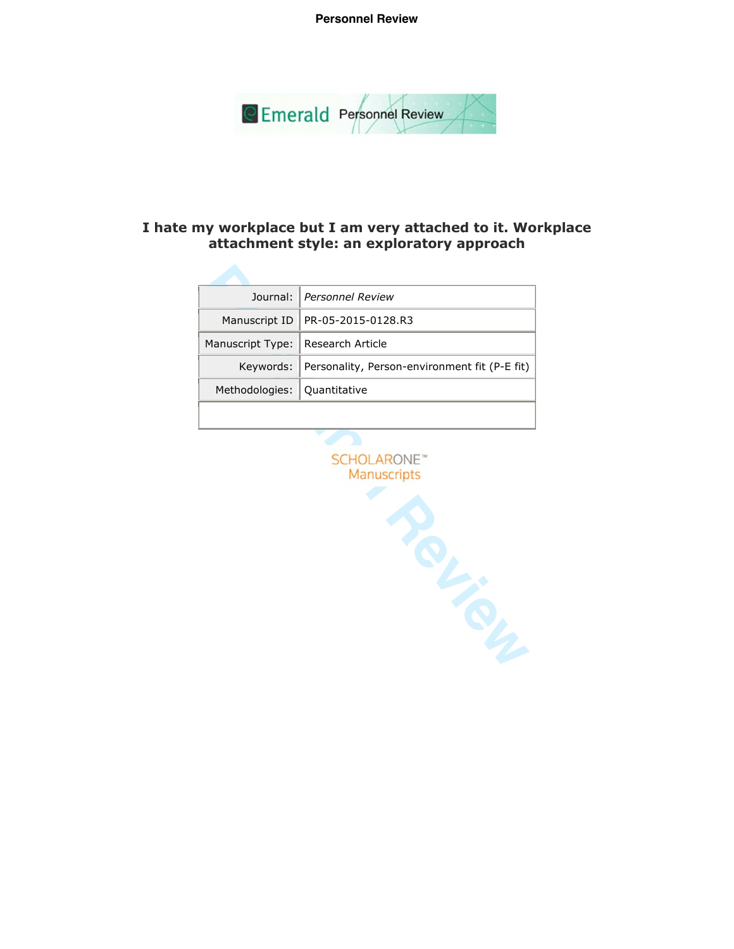**Personnel Review**



# **I hate my workplace but I am very attached to it. Workplace attachment style: an exploratory approach**

| Journal:         | <b>Personnel Review</b>                       |
|------------------|-----------------------------------------------|
| Manuscript ID    | PR-05-2015-0128.R3                            |
| Manuscript Type: | <b>Research Article</b>                       |
| Keywords:        | Personality, Person-environment fit (P-E fit) |
| Methodologies:   | Quantitative                                  |
|                  |                                               |
|                  | <b>SCHOLARONE</b> <sup>®</sup><br>Manuscripts |

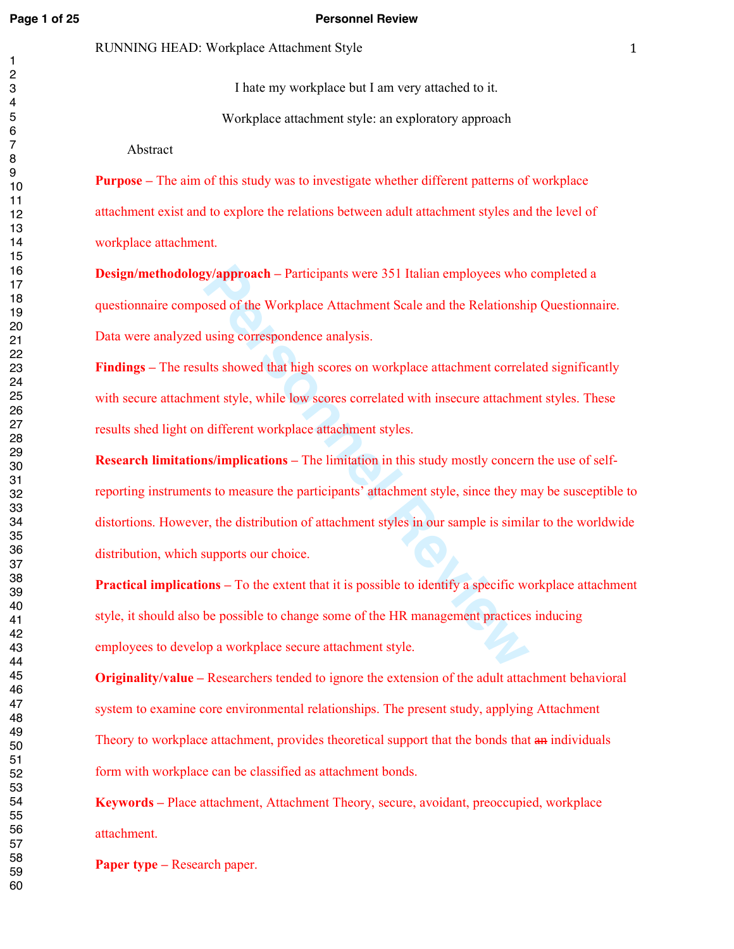#### **Page 1 of 25 Personnel Review**

I hate my workplace but I am very attached to it.

Workplace attachment style: an exploratory approach

Abstract

**Purpose –** The aim of this study was to investigate whether different patterns of workplace attachment exist and to explore the relations between adult attachment styles and the level of workplace attachment.

**Design/methodology/approach** – Participants were 351 Italian employees who completed a questionnaire composed of the Workplace Attachment Scale and the Relationship Questionnaire. Data were analyzed using correspondence analysis.

**Findings –** The results showed that high scores on workplace attachment correlated significantly with secure attachment style, while low scores correlated with insecure attachment styles. These results shed light on different workplace attachment styles.

**Example 1** Participants were 351 Italian employees who bosed of the Workplace Attachment Scale and the Relationshi using correspondence analysis.<br>
Ilts showed that high scores on workplace attachment correlated ent style, **Research limitations/implications –** The limitation in this study mostly concern the use of selfreporting instruments to measure the participants' attachment style, since they may be susceptible to distortions. However, the distribution of attachment styles in our sample is similar to the worldwide distribution, which supports our choice.

**Practical implications** – To the extent that it is possible to identify a specific workplace attachment style, it should also be possible to change some of the HR management practices inducing employees to develop a workplace secure attachment style.

**Originality/value –** Researchers tended to ignore the extension of the adult attachment behavioral system to examine core environmental relationships. The present study, applying Attachment Theory to workplace attachment, provides theoretical support that the bonds that an individuals form with workplace can be classified as attachment bonds.

**Keywords –** Place attachment, Attachment Theory, secure, avoidant, preoccupied, workplace attachment.

**Paper type –** Research paper.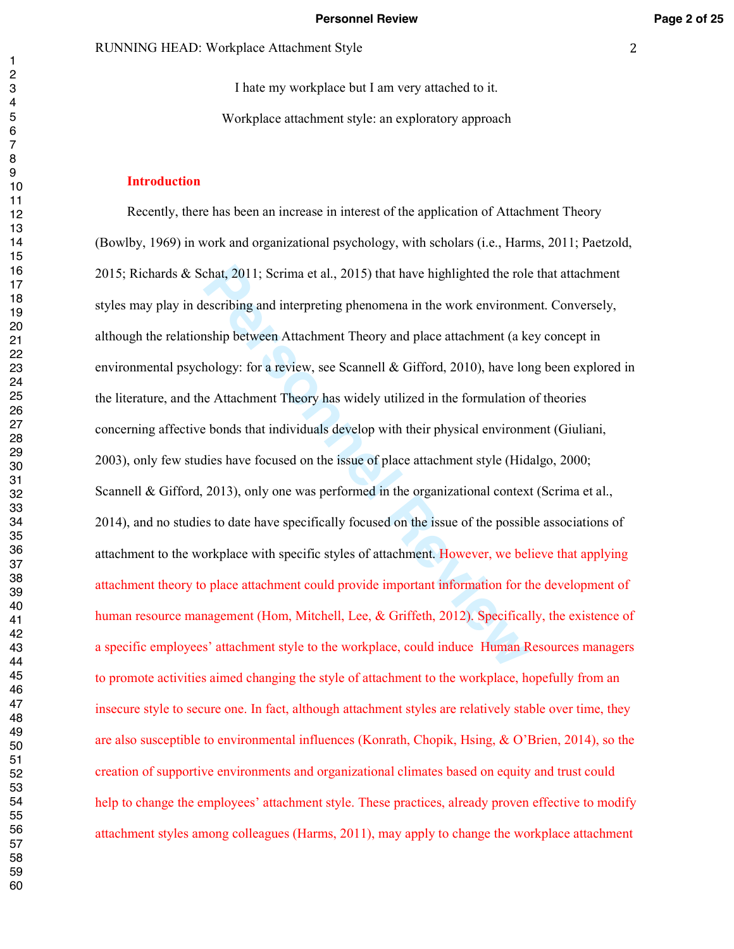I hate my workplace but I am very attached to it. Workplace attachment style: an exploratory approach

#### **Introduction**

chat, 2011; Scrima et al., 2015) that have highlighted the role<br>escribing and interpreting phenomena in the work environmentship between Attachment Theory and place attachment (a k<br>hology: for a review, see Scannell & Giff Recently, there has been an increase in interest of the application of Attachment Theory (Bowlby, 1969) in work and organizational psychology, with scholars (i.e., Harms, 2011; Paetzold, 2015; Richards & Schat, 2011; Scrima et al., 2015) that have highlighted the role that attachment styles may play in describing and interpreting phenomena in the work environment. Conversely, although the relationship between Attachment Theory and place attachment (a key concept in environmental psychology: for a review, see Scannell  $\&$  Gifford, 2010), have long been explored in the literature, and the Attachment Theory has widely utilized in the formulation of theories concerning affective bonds that individuals develop with their physical environment (Giuliani, 2003), only few studies have focused on the issue of place attachment style (Hidalgo, 2000; Scannell & Gifford, 2013), only one was performed in the organizational context (Scrima et al., 2014), and no studies to date have specifically focused on the issue of the possible associations of attachment to the workplace with specific styles of attachment. However, we believe that applying attachment theory to place attachment could provide important information for the development of human resource management (Hom, Mitchell, Lee, & Griffeth, 2012). Specifically, the existence of a specific employees' attachment style to the workplace, could induce Human Resources managers to promote activities aimed changing the style of attachment to the workplace, hopefully from an insecure style to secure one. In fact, although attachment styles are relatively stable over time, they are also susceptible to environmental influences (Konrath, Chopik, Hsing, & O'Brien, 2014), so the creation of supportive environments and organizational climates based on equity and trust could help to change the employees' attachment style. These practices, already proven effective to modify attachment styles among colleagues (Harms, 2011), may apply to change the workplace attachment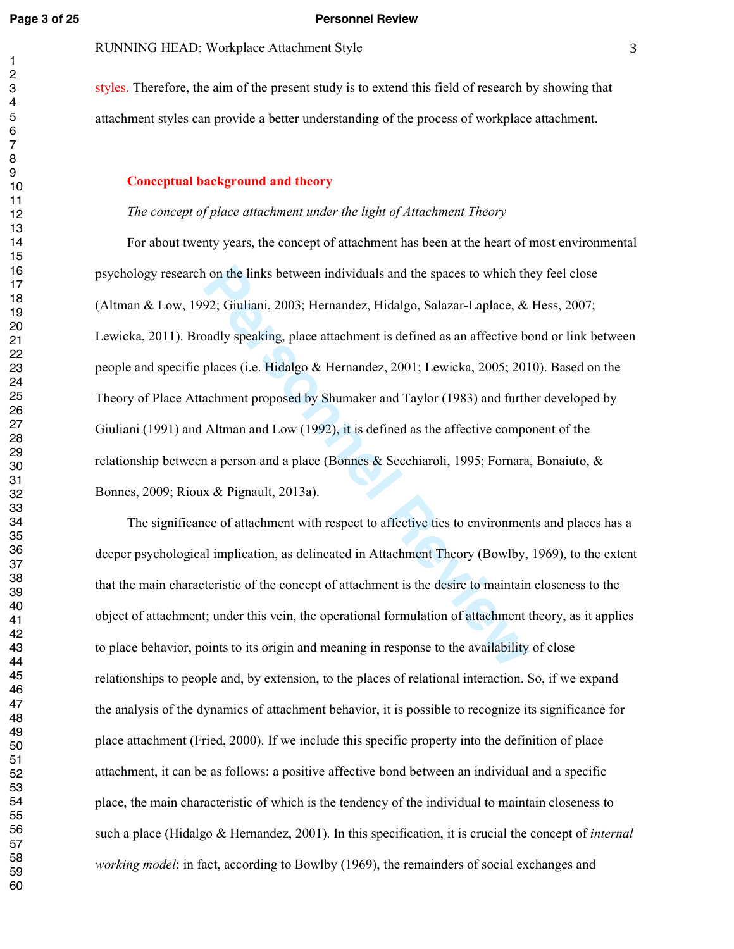#### **Page 3 of 25 Personnel Review**

# RUNNING HEAD: Workplace Attachment Style

styles. Therefore, the aim of the present study is to extend this field of research by showing that attachment styles can provide a better understanding of the process of workplace attachment.

#### **Conceptual background and theory**

#### *The concept of place attachment under the light of Attachment Theory*

1 on the links between individuals and the spaces to which th<br>92; Giuliani, 2003; Hernandez, Hidalgo, Salazar-Laplace, &<br>badly speaking, place attachment is defined as an affective bo<br>places (i.e. Hidalgo & Hernandez, 2001 For about twenty years, the concept of attachment has been at the heart of most environmental psychology research on the links between individuals and the spaces to which they feel close (Altman & Low, 1992; Giuliani, 2003; Hernandez, Hidalgo, Salazar-Laplace, & Hess, 2007; Lewicka, 2011). Broadly speaking, place attachment is defined as an affective bond or link between people and specific places (i.e. Hidalgo & Hernandez, 2001; Lewicka, 2005; 2010). Based on the Theory of Place Attachment proposed by Shumaker and Taylor (1983) and further developed by Giuliani (1991) and Altman and Low (1992), it is defined as the affective component of the relationship between a person and a place (Bonnes & Secchiaroli, 1995; Fornara, Bonaiuto, & Bonnes, 2009; Rioux & Pignault, 2013a).

The significance of attachment with respect to affective ties to environments and places has a deeper psychological implication, as delineated in Attachment Theory (Bowlby, 1969), to the extent that the main characteristic of the concept of attachment is the desire to maintain closeness to the object of attachment; under this vein, the operational formulation of attachment theory, as it applies to place behavior, points to its origin and meaning in response to the availability of close relationships to people and, by extension, to the places of relational interaction. So, if we expand the analysis of the dynamics of attachment behavior, it is possible to recognize its significance for place attachment (Fried, 2000). If we include this specific property into the definition of place attachment, it can be as follows: a positive affective bond between an individual and a specific place, the main characteristic of which is the tendency of the individual to maintain closeness to such a place (Hidalgo & Hernandez, 2001). In this specification, it is crucial the concept of *internal working model*: in fact, according to Bowlby (1969), the remainders of social exchanges and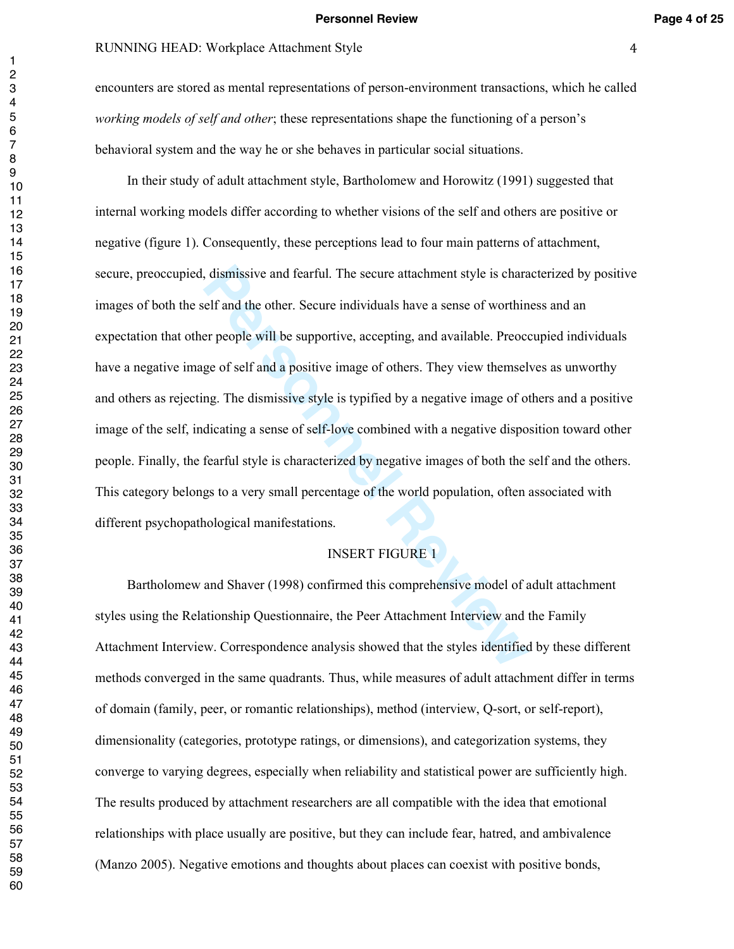#### RUNNING HEAD: Workplace Attachment Style

encounters are stored as mental representations of person-environment transactions, which he called *working models of self and other*; these representations shape the functioning of a person's behavioral system and the way he or she behaves in particular social situations.

delf and the other. Secure attachment style is charantient and the other. Secure individuals have a sense of worthin the people will be supportive, accepting, and available. Preoce ge of self and a positive image of others In their study of adult attachment style, Bartholomew and Horowitz (1991) suggested that internal working models differ according to whether visions of the self and others are positive or negative (figure 1). Consequently, these perceptions lead to four main patterns of attachment, secure, preoccupied, dismissive and fearful. The secure attachment style is characterized by positive images of both the self and the other. Secure individuals have a sense of worthiness and an expectation that other people will be supportive, accepting, and available. Preoccupied individuals have a negative image of self and a positive image of others. They view themselves as unworthy and others as rejecting. The dismissive style is typified by a negative image of others and a positive image of the self, indicating a sense of self-love combined with a negative disposition toward other people. Finally, the fearful style is characterized by negative images of both the self and the others. This category belongs to a very small percentage of the world population, often associated with different psychopathological manifestations.

### INSERT FIGURE 1

Bartholomew and Shaver (1998) confirmed this comprehensive model of adult attachment styles using the Relationship Questionnaire, the Peer Attachment Interview and the Family Attachment Interview. Correspondence analysis showed that the styles identified by these different methods converged in the same quadrants. Thus, while measures of adult attachment differ in terms of domain (family, peer, or romantic relationships), method (interview, Q-sort, or self-report), dimensionality (categories, prototype ratings, or dimensions), and categorization systems, they converge to varying degrees, especially when reliability and statistical power are sufficiently high. The results produced by attachment researchers are all compatible with the idea that emotional relationships with place usually are positive, but they can include fear, hatred, and ambivalence (Manzo 2005). Negative emotions and thoughts about places can coexist with positive bonds,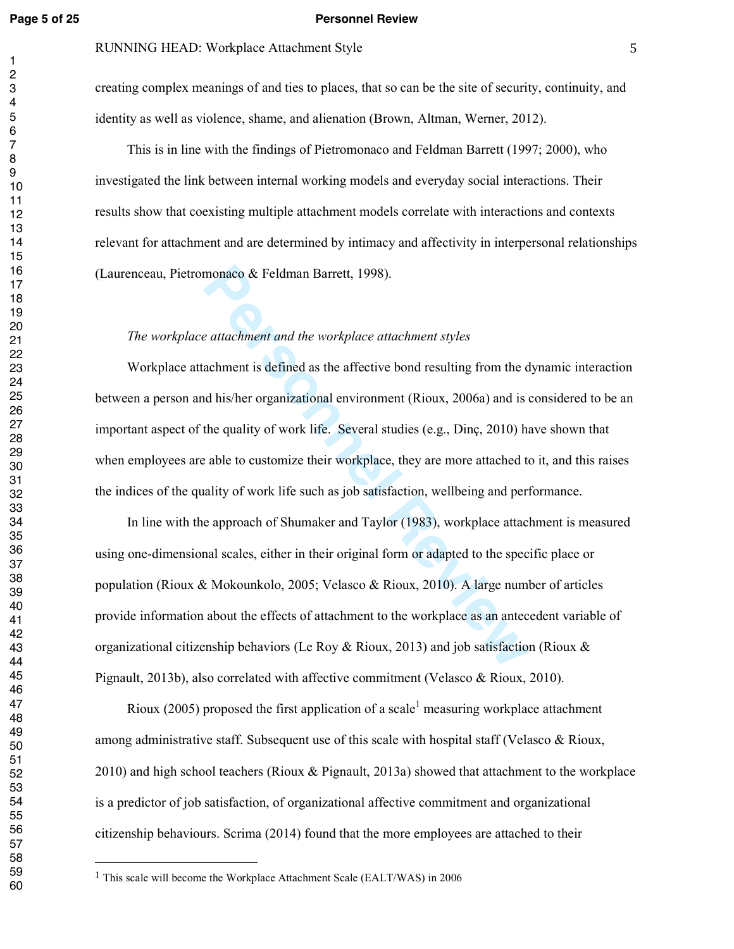#### **Page 5 of 25 Personnel Review**

#### RUNNING HEAD: Workplace Attachment Style

creating complex meanings of and ties to places, that so can be the site of security, continuity, and identity as well as violence, shame, and alienation (Brown, Altman, Werner, 2012).

This is in line with the findings of Pietromonaco and Feldman Barrett (1997; 2000), who investigated the link between internal working models and everyday social interactions. Their results show that coexisting multiple attachment models correlate with interactions and contexts relevant for attachment and are determined by intimacy and affectivity in interpersonal relationships (Laurenceau, Pietromonaco & Feldman Barrett, 1998).

#### *The workplace attachment and the workplace attachment styles*

Workplace attachment is defined as the affective bond resulting from the dynamic interaction between a person and his/her organizational environment (Rioux, 2006a) and is considered to be an important aspect of the quality of work life. Several studies (e.g., Dinç, 2010) have shown that when employees are able to customize their workplace, they are more attached to it, and this raises the indices of the quality of work life such as job satisfaction, wellbeing and performance.

monaco & Feldman Barrett, 1998).<br> *Personnent and the workplace attachment styles*<br>
achment is defined as the affective bond resulting from the d<br>
d his/her organizational environment (Rioux, 2006a) and is<br>
the quality of In line with the approach of Shumaker and Taylor (1983), workplace attachment is measured using one-dimensional scales, either in their original form or adapted to the specific place or population (Rioux & Mokounkolo, 2005; Velasco & Rioux, 2010). A large number of articles provide information about the effects of attachment to the workplace as an antecedent variable of organizational citizenship behaviors (Le Roy & Rioux, 2013) and job satisfaction (Rioux & Pignault, 2013b), also correlated with affective commitment (Velasco & Rioux, 2010).

Rioux (2005) proposed the first application of a scale<sup>1</sup> measuring workplace attachment among administrative staff. Subsequent use of this scale with hospital staff (Velasco & Rioux, 2010) and high school teachers (Rioux & Pignault, 2013a) showed that attachment to the workplace is a predictor of job satisfaction, of organizational affective commitment and organizational citizenship behaviours. Scrima (2014) found that the more employees are attached to their

This scale will become the Workplace Attachment Scale (EALT/WAS) in 2006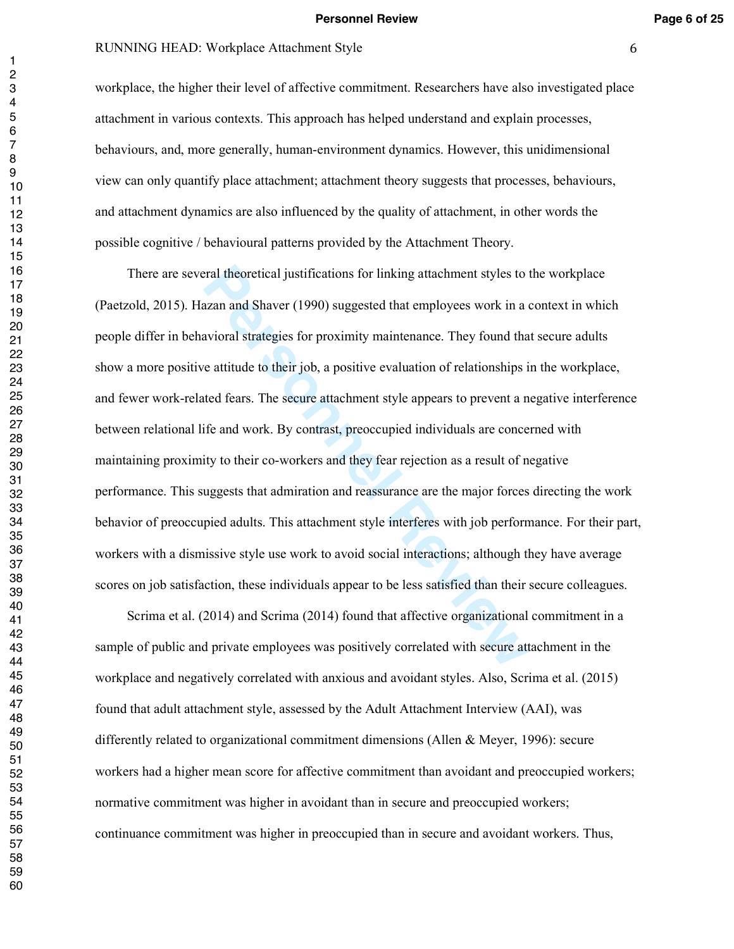#### **Personnel Review Page 6 of 25**

# RUNNING HEAD: Workplace Attachment Style

workplace, the higher their level of affective commitment. Researchers have also investigated place attachment in various contexts. This approach has helped understand and explain processes, behaviours, and, more generally, human-environment dynamics. However, this unidimensional view can only quantify place attachment; attachment theory suggests that processes, behaviours, and attachment dynamics are also influenced by the quality of attachment, in other words the possible cognitive / behavioural patterns provided by the Attachment Theory.

ral theoretical justifications for linking attachment styles to the state and Shaver (1990) suggested that employees work in a cavioral strategies for proximity maintenance. They found that e attitude to their job, a posit There are several theoretical justifications for linking attachment styles to the workplace (Paetzold, 2015). Hazan and Shaver (1990) suggested that employees work in a context in which people differ in behavioral strategies for proximity maintenance. They found that secure adults show a more positive attitude to their job, a positive evaluation of relationships in the workplace, and fewer work-related fears. The secure attachment style appears to prevent a negative interference between relational life and work. By contrast, preoccupied individuals are concerned with maintaining proximity to their co-workers and they fear rejection as a result of negative performance. This suggests that admiration and reassurance are the major forces directing the work behavior of preoccupied adults. This attachment style interferes with job performance. For their part, workers with a dismissive style use work to avoid social interactions; although they have average scores on job satisfaction, these individuals appear to be less satisfied than their secure colleagues.

Scrima et al. (2014) and Scrima (2014) found that affective organizational commitment in a sample of public and private employees was positively correlated with secure attachment in the workplace and negatively correlated with anxious and avoidant styles. Also, Scrima et al. (2015) found that adult attachment style, assessed by the Adult Attachment Interview (AAI), was differently related to organizational commitment dimensions (Allen & Meyer, 1996): secure workers had a higher mean score for affective commitment than avoidant and preoccupied workers; normative commitment was higher in avoidant than in secure and preoccupied workers; continuance commitment was higher in preoccupied than in secure and avoidant workers. Thus,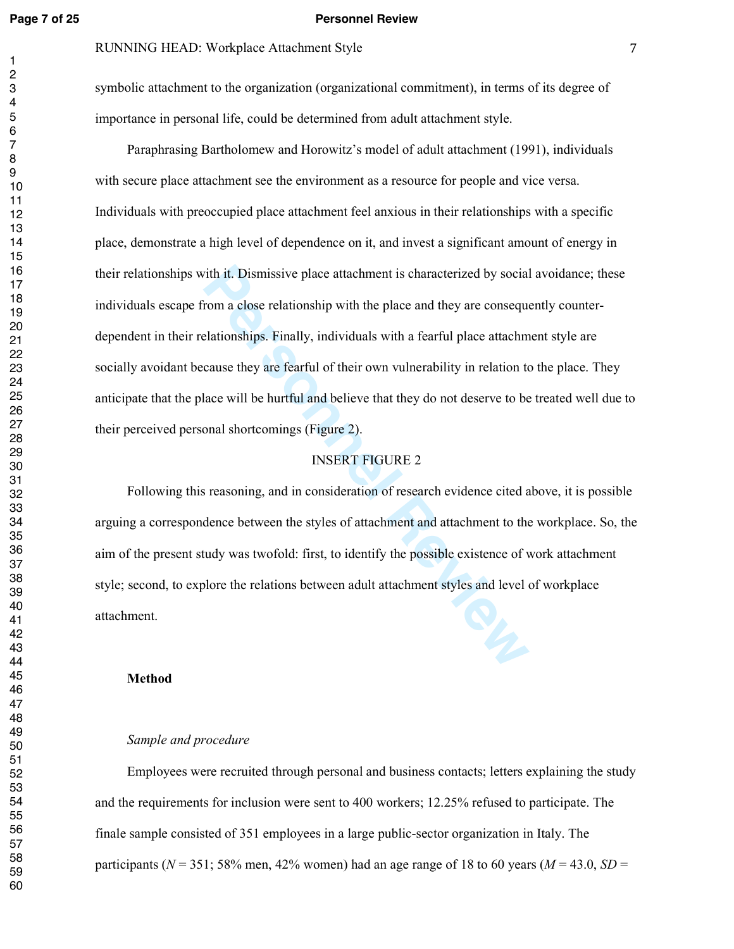#### **Page 7 of 25 Personnel Review**

#### RUNNING HEAD: Workplace Attachment Style

symbolic attachment to the organization (organizational commitment), in terms of its degree of importance in personal life, could be determined from adult attachment style.

ith it. Dismissive place attachment is characterized by social<br>
prom a close relationship with the place and they are conseque<br>
lationships. Finally, individuals with a fearful place attachm<br>
cause they are fearful of thei Paraphrasing Bartholomew and Horowitz's model of adult attachment (1991), individuals with secure place attachment see the environment as a resource for people and vice versa. Individuals with preoccupied place attachment feel anxious in their relationships with a specific place, demonstrate a high level of dependence on it, and invest a significant amount of energy in their relationships with it. Dismissive place attachment is characterized by social avoidance; these individuals escape from a close relationship with the place and they are consequently counterdependent in their relationships. Finally, individuals with a fearful place attachment style are socially avoidant because they are fearful of their own vulnerability in relation to the place. They anticipate that the place will be hurtful and believe that they do not deserve to be treated well due to their perceived personal shortcomings (Figure 2).

#### INSERT FIGURE 2

Following this reasoning, and in consideration of research evidence cited above, it is possible arguing a correspondence between the styles of attachment and attachment to the workplace. So, the aim of the present study was twofold: first, to identify the possible existence of work attachment style; second, to explore the relations between adult attachment styles and level of workplace attachment.

#### **Method**

#### *Sample and procedure*

Employees were recruited through personal and business contacts; letters explaining the study and the requirements for inclusion were sent to 400 workers; 12.25% refused to participate. The finale sample consisted of 351 employees in a large public-sector organization in Italy. The participants ( $N = 351$ ; 58% men, 42% women) had an age range of 18 to 60 years ( $M = 43.0$ ,  $SD =$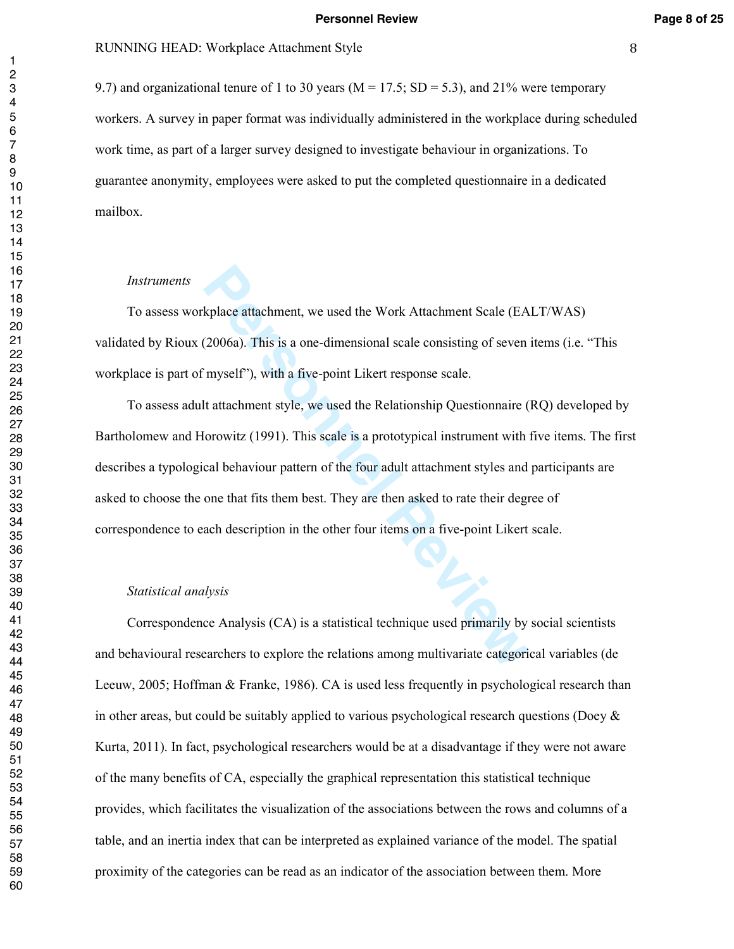#### RUNNING HEAD: Workplace Attachment Style

9.7) and organizational tenure of 1 to 30 years ( $M = 17.5$ ; SD = 5.3), and 21% were temporary workers. A survey in paper format was individually administered in the workplace during scheduled work time, as part of a larger survey designed to investigate behaviour in organizations. To guarantee anonymity, employees were asked to put the completed questionnaire in a dedicated mailbox.

#### *Instruments*

To assess workplace attachment, we used the Work Attachment Scale (EALT/WAS) validated by Rioux (2006a). This is a one-dimensional scale consisting of seven items (i.e. "This workplace is part of myself"), with a five-point Likert response scale.

kplace attachment, we used the Work Attachment Scale (EA (2006a). This is a one-dimensional scale consisting of seven myself"), with a five-point Likert response scale.<br>It attachment style, we used the Relationship Questio To assess adult attachment style, we used the Relationship Questionnaire (RQ) developed by Bartholomew and Horowitz (1991). This scale is a prototypical instrument with five items. The first describes a typological behaviour pattern of the four adult attachment styles and participants are asked to choose the one that fits them best. They are then asked to rate their degree of correspondence to each description in the other four items on a five-point Likert scale.

#### *Statistical analysis*

Correspondence Analysis (CA) is a statistical technique used primarily by social scientists and behavioural researchers to explore the relations among multivariate categorical variables (de Leeuw, 2005; Hoffman & Franke, 1986). CA is used less frequently in psychological research than in other areas, but could be suitably applied to various psychological research questions (Doey  $\&$ Kurta, 2011). In fact, psychological researchers would be at a disadvantage if they were not aware of the many benefits of CA, especially the graphical representation this statistical technique provides, which facilitates the visualization of the associations between the rows and columns of a table, and an inertia index that can be interpreted as explained variance of the model. The spatial proximity of the categories can be read as an indicator of the association between them. More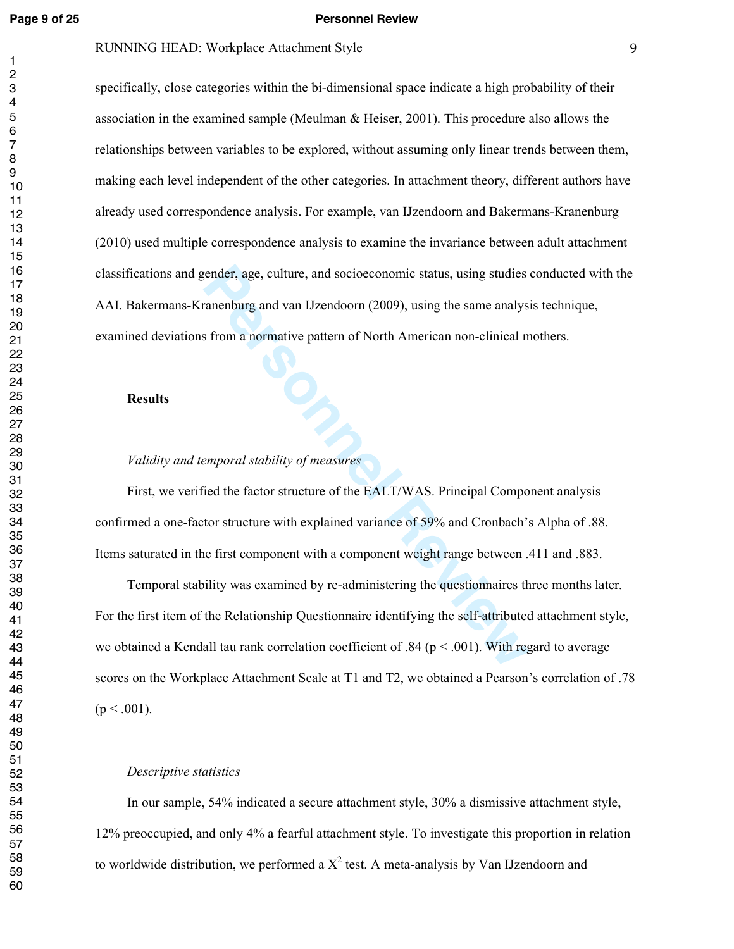$\mathbf{1}$  $\overline{c}$ 

#### **Page 9 of 25 Personnel Review**

#### RUNNING HEAD: Workplace Attachment Style

specifically, close categories within the bi-dimensional space indicate a high probability of their association in the examined sample (Meulman & Heiser, 2001). This procedure also allows the relationships between variables to be explored, without assuming only linear trends between them, making each level independent of the other categories. In attachment theory, different authors have already used correspondence analysis. For example, van IJzendoorn and Bakermans-Kranenburg (2010) used multiple correspondence analysis to examine the invariance between adult attachment classifications and gender, age, culture, and socioeconomic status, using studies conducted with the AAI. Bakermans-Kranenburg and van IJzendoorn (2009), using the same analysis technique, examined deviations from a normative pattern of North American non-clinical mothers.

#### **Results**

### *Validity and temporal stability of measures*

First, we verified the factor structure of the EALT/WAS. Principal Component analysis confirmed a one-factor structure with explained variance of 59% and Cronbach's Alpha of .88. Items saturated in the first component with a component weight range between .411 and .883.

Figure 2011 and socioeconomic status, using studies<br>
Framenburg and van IJzendoorn (2009), using the same analys<br>
From a normative pattern of North American non-clinical m<br>
Personnel a material of Morth American non-clinic Temporal stability was examined by re-administering the questionnaires three months later. For the first item of the Relationship Questionnaire identifying the self-attributed attachment style, we obtained a Kendall tau rank correlation coefficient of .84 ( $p < .001$ ). With regard to average scores on the Workplace Attachment Scale at T1 and T2, we obtained a Pearson's correlation of .78  $(p < .001)$ .

#### *Descriptive statistics*

In our sample, 54% indicated a secure attachment style, 30% a dismissive attachment style, 12% preoccupied, and only 4% a fearful attachment style. To investigate this proportion in relation to worldwide distribution, we performed a  $X^2$  test. A meta-analysis by Van IJzendoorn and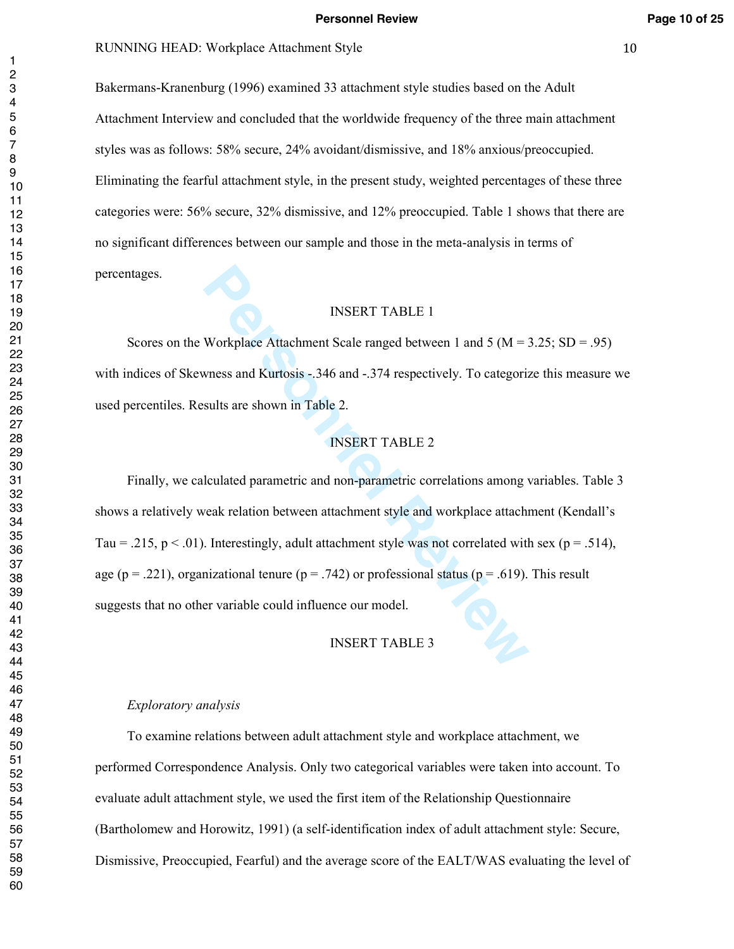#### **Personnel Review Page 10 of 25**

#### RUNNING HEAD: Workplace Attachment Style 10

Bakermans-Kranenburg (1996) examined 33 attachment style studies based on the Adult Attachment Interview and concluded that the worldwide frequency of the three main attachment styles was as follows: 58% secure, 24% avoidant/dismissive, and 18% anxious/preoccupied. Eliminating the fearful attachment style, in the present study, weighted percentages of these three categories were: 56% secure, 32% dismissive, and 12% preoccupied. Table 1 shows that there are no significant differences between our sample and those in the meta-analysis in terms of percentages.

#### INSERT TABLE 1

Scores on the Workplace Attachment Scale ranged between 1 and 5 ( $M = 3.25$ ; SD = .95) with indices of Skewness and Kurtosis -.346 and -.374 respectively. To categorize this measure we used percentiles. Results are shown in Table 2.

#### INSERT TABLE 2

**Personnel Review Theory** INSERT TABLE 1<br>
Workplace Attachment Scale ranged between 1 and 5 (M = 2<br>
Weiss and Kurtosis -.346 and -.374 respectively. To categoriz<br>
sults are shown in Table 2.<br> **PERT TABLE 2**<br>
INSERT TABLE 2 Finally, we calculated parametric and non-parametric correlations among variables. Table 3 shows a relatively weak relation between attachment style and workplace attachment (Kendall's Tau = .215, p < .01). Interestingly, adult attachment style was not correlated with sex (p = .514), age ( $p = .221$ ), organizational tenure ( $p = .742$ ) or professional status ( $p = .619$ ). This result suggests that no other variable could influence our model.

#### INSERT TABLE 3

### *Exploratory analysis*

To examine relations between adult attachment style and workplace attachment, we performed Correspondence Analysis. Only two categorical variables were taken into account. To evaluate adult attachment style, we used the first item of the Relationship Questionnaire (Bartholomew and Horowitz, 1991) (a self-identification index of adult attachment style: Secure, Dismissive, Preoccupied, Fearful) and the average score of the EALT/WAS evaluating the level of

 $\mathbf{1}$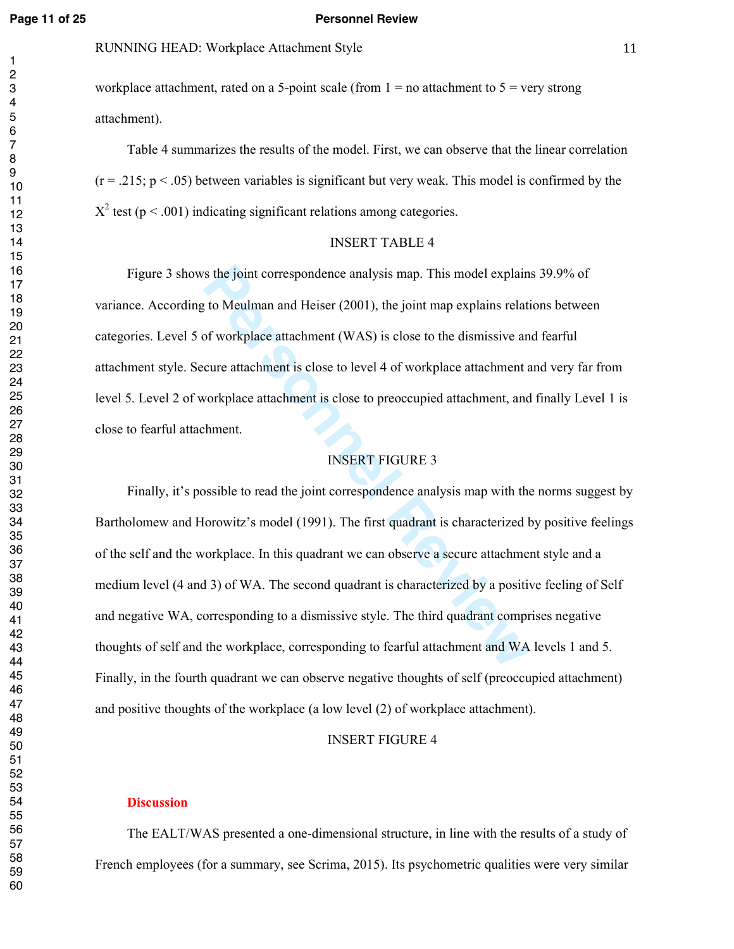#### **Page 11 of 25 Personnel Review**

workplace attachment, rated on a 5-point scale (from  $1 =$  no attachment to  $5 =$  very strong attachment).

Table 4 summarizes the results of the model. First, we can observe that the linear correlation  $(r = .215; p < .05)$  between variables is significant but very weak. This model is confirmed by the  $X^2$  test (p < .001) indicating significant relations among categories.

#### INSERT TABLE 4

Figure 3 shows the joint correspondence analysis map. This model explains 39.9% of variance. According to Meulman and Heiser (2001), the joint map explains relations between categories. Level 5 of workplace attachment (WAS) is close to the dismissive and fearful attachment style. Secure attachment is close to level 4 of workplace attachment and very far from level 5. Level 2 of workplace attachment is close to preoccupied attachment, and finally Level 1 is close to fearful attachment.

#### INSERT FIGURE 3

is the joint correspondence analysis map. This model explain<br>t to Meulman and Heiser (2001), the joint map explains related of workplace attachment (WAS) is close to the dismissive an<br>cure attachment is close to level 4 of Finally, it's possible to read the joint correspondence analysis map with the norms suggest by Bartholomew and Horowitz's model (1991). The first quadrant is characterized by positive feelings of the self and the workplace. In this quadrant we can observe a secure attachment style and a medium level (4 and 3) of WA. The second quadrant is characterized by a positive feeling of Self and negative WA, corresponding to a dismissive style. The third quadrant comprises negative thoughts of self and the workplace, corresponding to fearful attachment and WA levels 1 and 5. Finally, in the fourth quadrant we can observe negative thoughts of self (preoccupied attachment) and positive thoughts of the workplace (a low level (2) of workplace attachment).

#### INSERT FIGURE 4

#### **Discussion**

The EALT/WAS presented a one-dimensional structure, in line with the results of a study of French employees (for a summary, see Scrima, 2015). Its psychometric qualities were very similar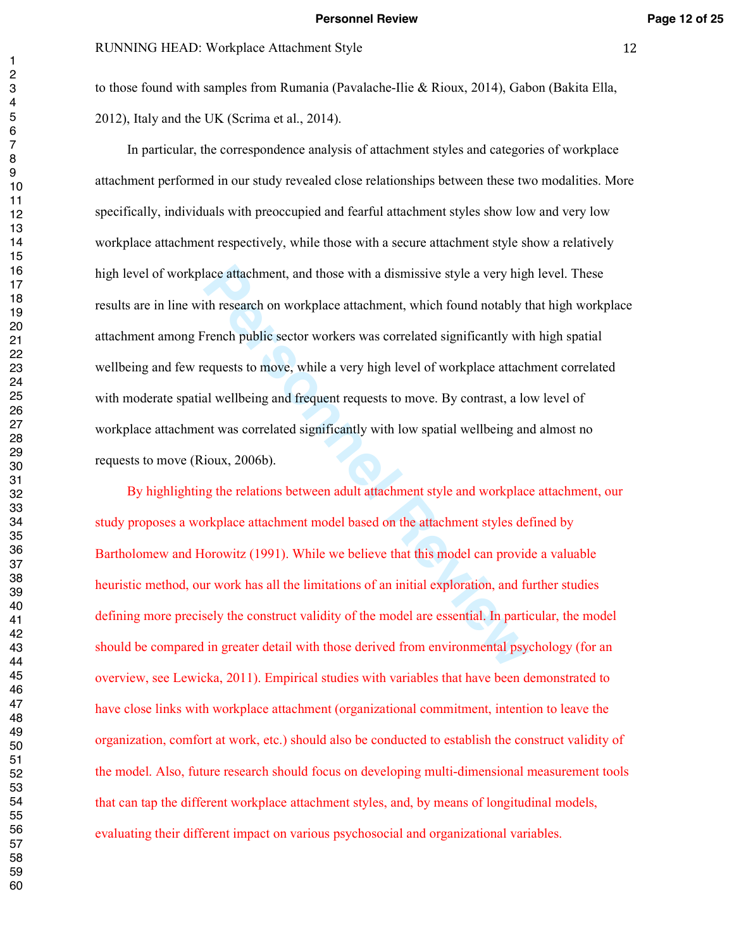to those found with samples from Rumania (Pavalache-Ilie & Rioux, 2014), Gabon (Bakita Ella, 2012), Italy and the UK (Scrima et al., 2014).

lace attachment, and those with a dismissive style a very highth research on workplace attachment, which found notably there are dispersion to the dismificantly with equests to move, while a very high level of workplace at In particular, the correspondence analysis of attachment styles and categories of workplace attachment performed in our study revealed close relationships between these two modalities. More specifically, individuals with preoccupied and fearful attachment styles show low and very low workplace attachment respectively, while those with a secure attachment style show a relatively high level of workplace attachment, and those with a dismissive style a very high level. These results are in line with research on workplace attachment, which found notably that high workplace attachment among French public sector workers was correlated significantly with high spatial wellbeing and few requests to move, while a very high level of workplace attachment correlated with moderate spatial wellbeing and frequent requests to move. By contrast, a low level of workplace attachment was correlated significantly with low spatial wellbeing and almost no requests to move (Rioux, 2006b).

By highlighting the relations between adult attachment style and workplace attachment, our study proposes a workplace attachment model based on the attachment styles defined by Bartholomew and Horowitz (1991). While we believe that this model can provide a valuable heuristic method, our work has all the limitations of an initial exploration, and further studies defining more precisely the construct validity of the model are essential. In particular, the model should be compared in greater detail with those derived from environmental psychology (for an overview, see Lewicka, 2011). Empirical studies with variables that have been demonstrated to have close links with workplace attachment (organizational commitment, intention to leave the organization, comfort at work, etc.) should also be conducted to establish the construct validity of the model. Also, future research should focus on developing multi-dimensional measurement tools that can tap the different workplace attachment styles, and, by means of longitudinal models, evaluating their different impact on various psychosocial and organizational variables.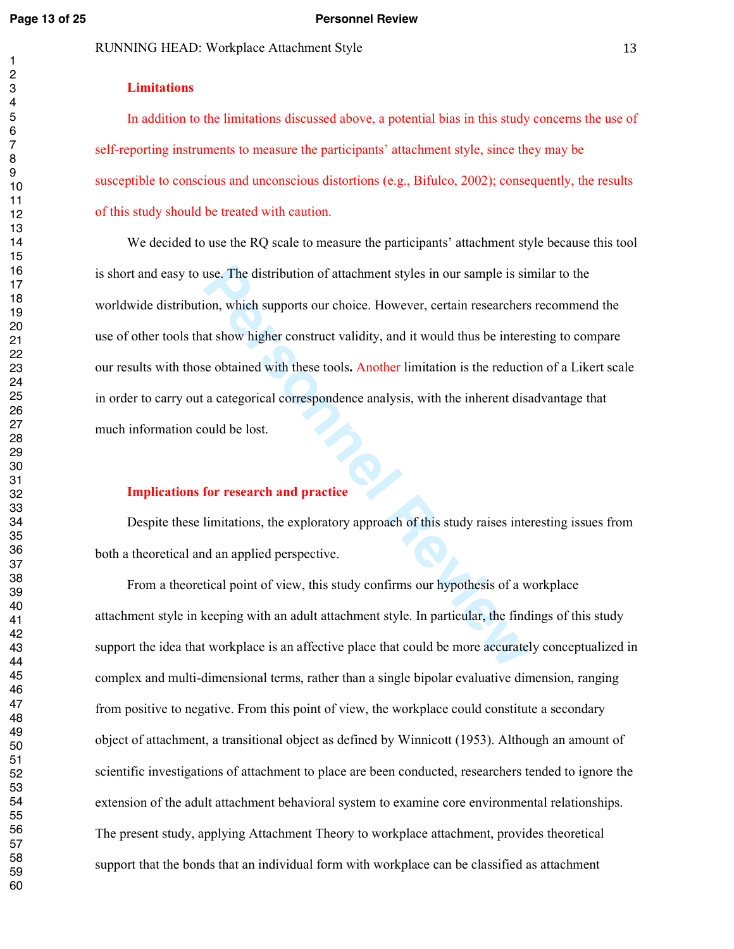#### **Page 13 of 25 Personnel Review**

#### RUNNING HEAD: Workplace Attachment Style 13

### **Limitations**

In addition to the limitations discussed above, a potential bias in this study concerns the use of self-reporting instruments to measure the participants' attachment style, since they may be susceptible to conscious and unconscious distortions (e.g., Bifulco, 2002); consequently, the results of this study should be treated with caution.

use. The distribution of attachment styles in our sample is sirion, which supports our choice. However, certain researchers<br>at show higher construct validity, and it would thus be intere<br>e obtained with these tools. Anothe We decided to use the RQ scale to measure the participants' attachment style because this tool is short and easy to use. The distribution of attachment styles in our sample is similar to the worldwide distribution, which supports our choice. However, certain researchers recommend the use of other tools that show higher construct validity, and it would thus be interesting to compare our results with those obtained with these tools **.** Another limitation is the reduction of a Likert scale in order to carry out a categorical correspondence analysis, with the inherent disadvantage that much information could be lost. **Implications for research and practice** 

Despite these limitations, the exploratory approach of this study raises interesting issues from both a theoretical and an applied perspective.

From a theoretical point of view, this study confirms our hypothesis of a workplace attachment style in keeping with an adult attachment style. In particular, the findings of this study support the idea that workplace is an affective place that could be more accurately conceptualized in complex and multi-dimensional terms, rather than a single bipolar evaluative dimension, ranging from positive to negative. From this point of view, the workplace could constitute a secondary object of attachment, a transitional object as defined by Winnicott (1953). Although an amount of scientific investigations of attachment to place are been conducted, researchers tended to ignore the extension of the adult attachment behavioral system to examine core environmental relationships. The present study, applying Attachment Theory to workplace attachment, provides theoretical support that the bonds that an individual form with workplace can be classified as attachment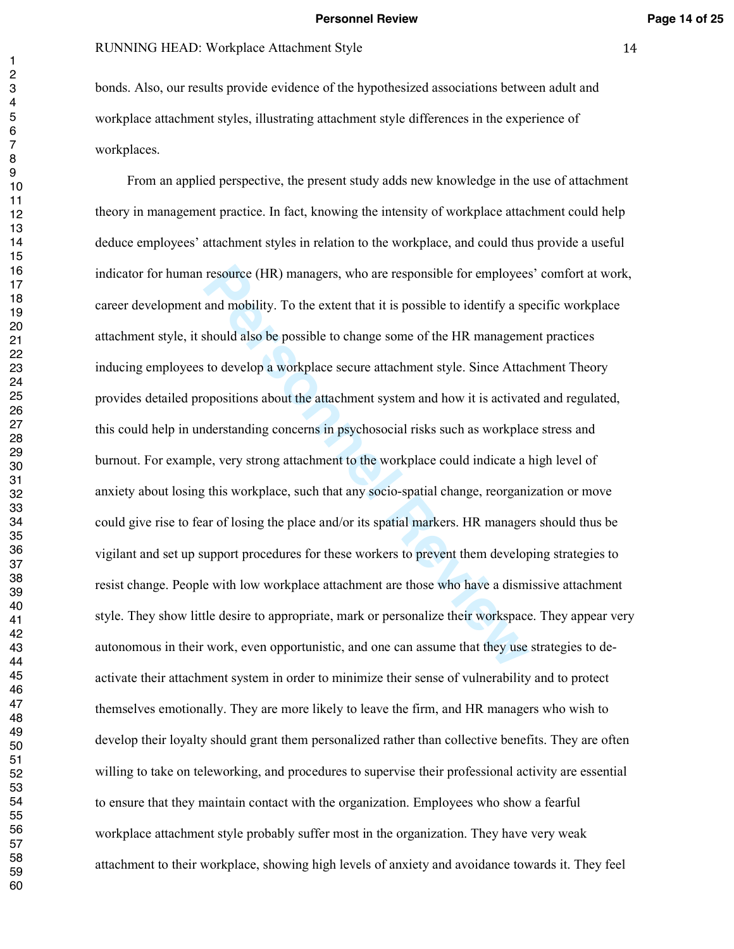# RUNNING HEAD: Workplace Attachment Style 14

bonds. Also, our results provide evidence of the hypothesized associations between adult and workplace attachment styles, illustrating attachment style differences in the experience of workplaces.

resource (HR) managers, who are responsible for employees<br>and mobility. To the extent that it is possible to identify a sp<br>should also be possible to change some of the HR manageme<br>to develop a workplace secure attachment From an applied perspective, the present study adds new knowledge in the use of attachment theory in management practice. In fact, knowing the intensity of workplace attachment could help deduce employees' attachment styles in relation to the workplace, and could thus provide a useful indicator for human resource (HR) managers, who are responsible for employees' comfort at work, career development and mobility. To the extent that it is possible to identify a specific workplace attachment style, it should also be possible to change some of the HR management practices inducing employees to develop a workplace secure attachment style. Since Attachment Theory provides detailed propositions about the attachment system and how it is activated and regulated, this could help in understanding concerns in psychosocial risks such as workplace stress and burnout. For example, very strong attachment to the workplace could indicate a high level of anxiety about losing this workplace, such that any socio-spatial change, reorganization or move could give rise to fear of losing the place and/or its spatial markers. HR managers should thus be vigilant and set up support procedures for these workers to prevent them developing strategies to resist change. People with low workplace attachment are those who have a dismissive attachment style. They show little desire to appropriate, mark or personalize their workspace. They appear very autonomous in their work, even opportunistic, and one can assume that they use strategies to deactivate their attachment system in order to minimize their sense of vulnerability and to protect themselves emotionally. They are more likely to leave the firm, and HR managers who wish to develop their loyalty should grant them personalized rather than collective benefits. They are often willing to take on teleworking, and procedures to supervise their professional activity are essential to ensure that they maintain contact with the organization. Employees who show a fearful workplace attachment style probably suffer most in the organization. They have very weak attachment to their workplace, showing high levels of anxiety and avoidance towards it. They feel

 $\mathbf{1}$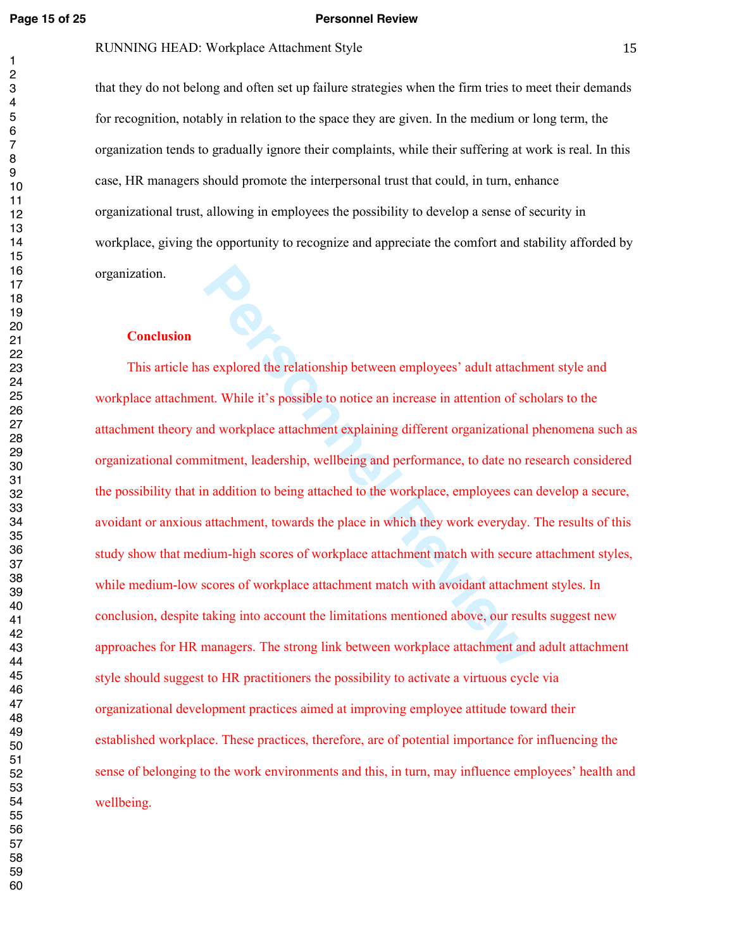#### **Page 15 of 25 Personnel Review**

# RUNNING HEAD: Workplace Attachment Style 15

that they do not belong and often set up failure strategies when the firm tries to meet their demands for recognition, notably in relation to the space they are given. In the medium or long term, the organization tends to gradually ignore their complaints, while their suffering at work is real. In this case, HR managers should promote the interpersonal trust that could, in turn, enhance organizational trust, allowing in employees the possibility to develop a sense of security in workplace, giving the opportunity to recognize and appreciate the comfort and stability afforded by organization.

#### **Conclusion**

**Personnel Wave Set as Explored the relationship between employees' adult attaching that the set of the relationship between employees' adult attaching that the set of the workplace attachment explaining different organiza** This article has explored the relationship between employees' adult attachment style and workplace attachment. While it's possible to notice an increase in attention of scholars to the attachment theory and workplace attachment explaining different organizational phenomena such as organizational commitment, leadership, wellbeing and performance, to date no research considered the possibility that in addition to being attached to the workplace, employees can develop a secure, avoidant or anxious attachment, towards the place in which they work everyday. The results of this study show that medium-high scores of workplace attachment match with secure attachment styles, while medium-low scores of workplace attachment match with avoidant attachment styles. In conclusion, despite taking into account the limitations mentioned above, our results suggest new approaches for HR managers. The strong link between workplace attachment and adult attachment style should suggest to HR practitioners the possibility to activate a virtuous cycle via organizational development practices aimed at improving employee attitude toward their established workplace. These practices, therefore, are of potential importance for influencing the sense of belonging to the work environments and this, in turn, may influence employees' health and wellbeing.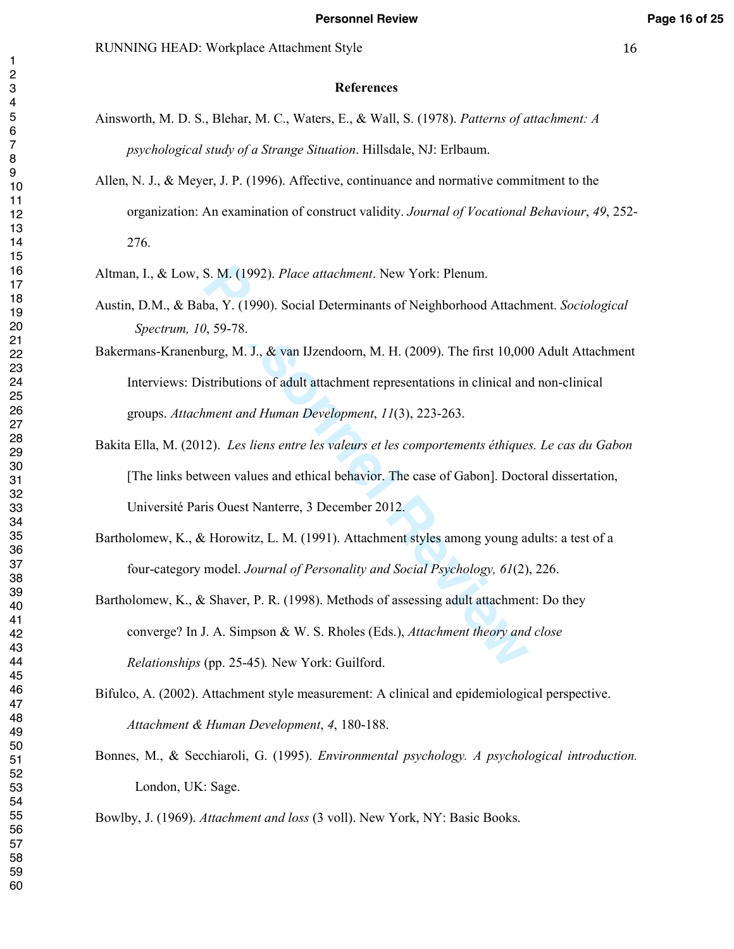- Ainsworth, M. D. S., Blehar, M. C., Waters, E., & Wall, S. (1978). *Patterns of attachment: A psychological study of a Strange Situation*. Hillsdale, NJ: Erlbaum.
- Allen, N. J., & Meyer, J. P. (1996). Affective, continuance and normative commitment to the organization: An examination of construct validity. *Journal of Vocational Behaviour*, *49*, 252- 276.
- Altman, I., & Low, S. M. (1992). *Place attachment*. New York: Plenum.
- Austin, D.M., & Baba, Y. (1990). Social Determinants of Neighborhood Attachment. *Sociological Spectrum, 10*, 59-78.
- Bakermans-Kranenburg, M. J., & van IJzendoorn, M. H. (2009). The first 10,000 Adult Attachment Interviews: Distributions of adult attachment representations in clinical and non-clinical groups. *Attachment and Human Development*, *11*(3), 223-263.
- S. M. (1992). *Place attachment*. New York: Plenum.<br>
ba, Y. (1990). Social Determinants of Neighborhood Attachr<br>
b, S9-78.<br>
burg, M. J., & van IJzendoorn, M. H. (2009). The first 10,000<br>
istributions of adult attachment re Bakita Ella, M. (2012). *Les liens entre les valeurs et les comportements éthiques. Le cas du Gabon* [The links between values and ethical behavior. The case of Gabon]. Doctoral dissertation, Université Paris Ouest Nanterre, 3 December 2012.
- Bartholomew, K., & Horowitz, L. M. (1991). Attachment styles among young adults: a test of a four-category model. *Journal of Personality and Social Psychology, 61*(2), 226.
- Bartholomew, K., & Shaver, P. R. (1998). Methods of assessing adult attachment: Do they converge? In J. A. Simpson & W. S. Rholes (Eds.), *Attachment theory and close Relationships* (pp. 25-45)*.* New York: Guilford.
- Bifulco, A. (2002). Attachment style measurement: A clinical and epidemiological perspective. *Attachment & Human Development*, *4*, 180-188.
- Bonnes, M., & Secchiaroli, G. (1995). *Environmental psychology. A psychological introduction.* London, UK: Sage.

Bowlby, J. (1969). *Attachment and loss* (3 voll). New York, NY: Basic Books.

 $\mathbf{1}$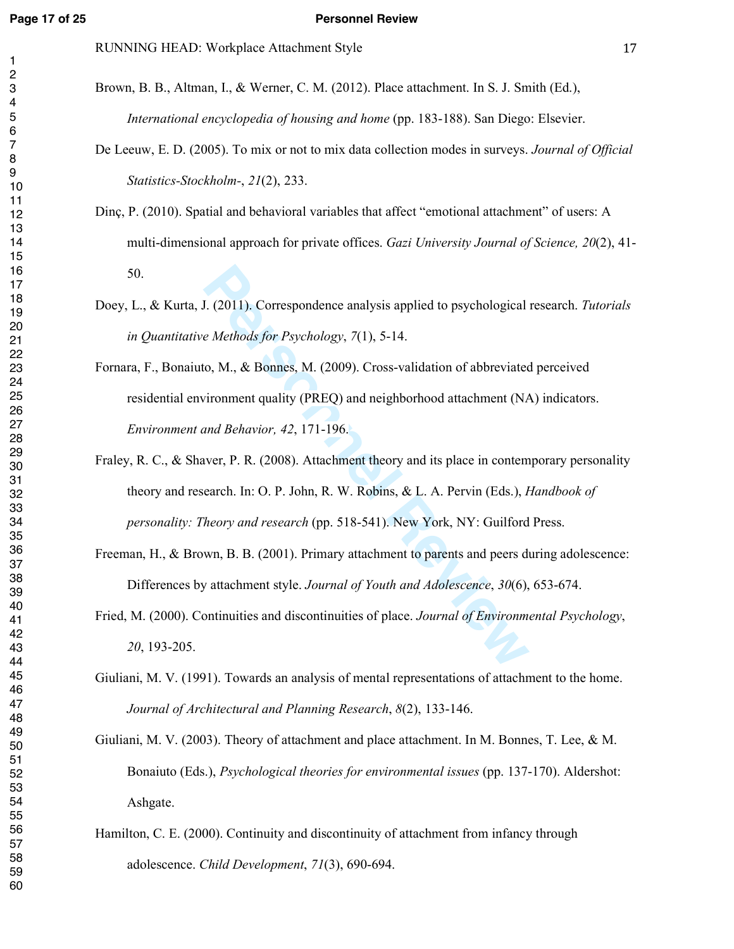#### **Page 17 of 25 Personnel Review**

RUNNING HEAD: Workplace Attachment Style 17

- Brown, B. B., Altman, I., & Werner, C. M. (2012). Place attachment. In S. J. Smith (Ed.), *International encyclopedia of housing and home* (pp. 183-188). San Diego: Elsevier.
- De Leeuw, E. D. (2005). To mix or not to mix data collection modes in surveys. *Journal of Official Statistics-Stockholm-*, *21*(2), 233.
- Dinç, P. (2010). Spatial and behavioral variables that affect "emotional attachment" of users: A multi-dimensional approach for private offices. *Gazi University Journal of Science, 20*(2), 41- 50.
- Doey, L., & Kurta, J. (2011). Correspondence analysis applied to psychological research. *Tutorials in Quantitative Methods for Psychology*, *7*(1), 5-14.
- **PERICAL EXECTS CONTERED** CONTINUITY CONTEX AND MUNITIES and *Rethods for Psychology*, 7(1), 5-14.<br> **Person Alger Alger Alger Alger Alger Alger Alger Alger Alger Alger Alger Alger Alger Alger Alger Alger Alger Alger Alger** Fornara, F., Bonaiuto, M., & Bonnes, M. (2009). Cross-validation of abbreviated perceived residential environment quality (PREQ) and neighborhood attachment (NA) indicators. *Environment and Behavior, 42*, 171-196.
- Fraley, R. C., & Shaver, P. R. (2008). Attachment theory and its place in contemporary personality theory and research. In: O. P. John, R. W. Robins, & L. A. Pervin (Eds.), *Handbook of personality: Theory and research* (pp. 518-541). New York, NY: Guilford Press.
- Freeman, H., & Brown, B. B. (2001). Primary attachment to parents and peers during adolescence: Differences by attachment style. *Journal of Youth and Adolescence*, *30*(6), 653-674.
- Fried, M. (2000). Continuities and discontinuities of place. *Journal of Environmental Psychology*, , 193-205.
- Giuliani, M. V. (1991). Towards an analysis of mental representations of attachment to the home. *Journal of Architectural and Planning Research*, *8*(2), 133-146.

Giuliani, M. V. (2003). Theory of attachment and place attachment. In M. Bonnes, T. Lee, & M. Bonaiuto (Eds.), *Psychological theories for environmental issues* (pp. 137-170). Aldershot: Ashgate.

Hamilton, C. E. (2000). Continuity and discontinuity of attachment from infancy through adolescence. *Child Development*, *71*(3), 690-694.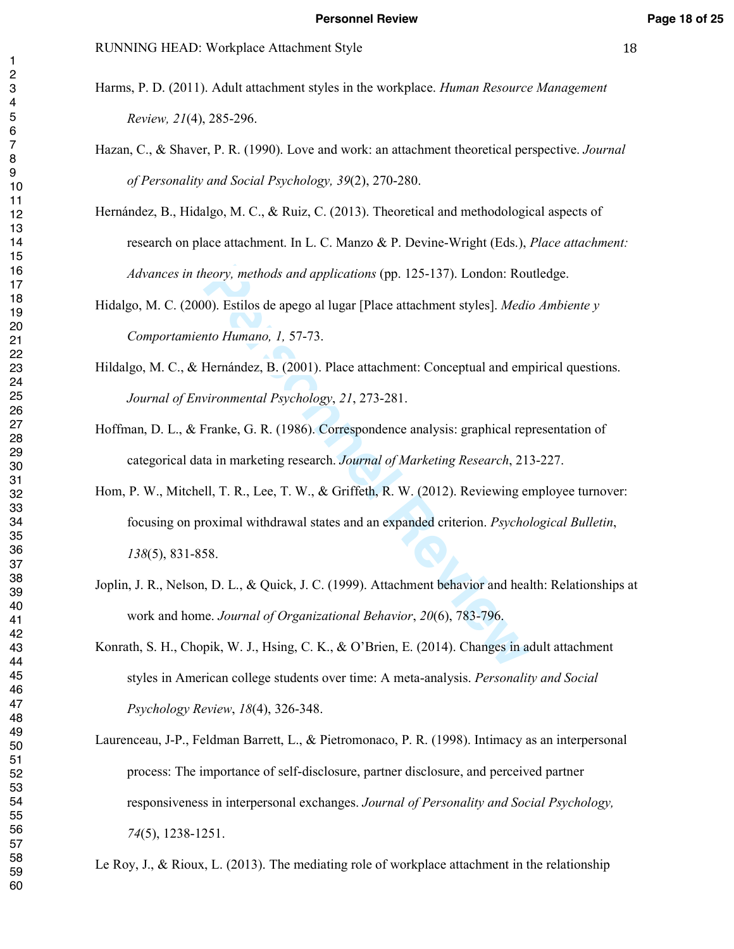- 
- Harms, P. D. (2011). Adult attachment styles in the workplace. *Human Resource Management Review, 21*(4), 285-296.
- Hazan, C., & Shaver, P. R. (1990). Love and work: an attachment theoretical perspective. *Journal of Personality and Social Psychology, 39*(2), 270-280.
- Hernández, B., Hidalgo, M. C., & Ruiz, C. (2013). Theoretical and methodological aspects of research on place attachment. In L. C. Manzo & P. Devine-Wright (Eds.), *Place attachment: Advances in theory, methods and applications* (pp. 125-137). London: Routledge.
- Hidalgo, M. C. (2000). Estilos de apego al lugar [Place attachment styles]. *Medio Ambiente y Comportamiento Humano, 1,* 57-73.
- Hildalgo, M. C., & Hernández, B. (2001). Place attachment: Conceptual and empirical questions. *Journal of Environmental Psychology*, *21*, 273-281.
- Hoffman, D. L., & Franke, G. R. (1986). Correspondence analysis: graphical representation of categorical data in marketing research. *Journal of Marketing Research*, 213-227.
- theory, methods and applications (pp. 125-137). London: Rou<br> **Photon:** Rou<br> **Photon:** Reviewand, 1, 57-73.<br>
Hernández, B. (2001). Place attachment: Conceptual and emplyironmental Psychology, 21, 273-281.<br>
Franke, G. R. (19 Hom, P. W., Mitchell, T. R., Lee, T. W., & Griffeth, R. W. (2012). Reviewing employee turnover: focusing on proximal withdrawal states and an expanded criterion. *Psychological Bulletin*, (5), 831-858.
- Joplin, J. R., Nelson, D. L., & Quick, J. C. (1999). Attachment behavior and health: Relationships at work and home. *Journal of Organizational Behavior*, *20*(6), 783-796.
- Konrath, S. H., Chopik, W. J., Hsing, C. K., & O'Brien, E. (2014). Changes in adult attachment styles in American college students over time: A meta-analysis. *Personality and Social Psychology Review*, *18*(4), 326-348.
- Laurenceau, J-P., Feldman Barrett, L., & Pietromonaco, P. R. (1998). Intimacy as an interpersonal process: The importance of self-disclosure, partner disclosure, and perceived partner responsiveness in interpersonal exchanges. *Journal of Personality and Social Psychology,*  (5), 1238-1251.

Le Roy, J., & Rioux, L. (2013). The mediating role of workplace attachment in the relationship

 $\mathbf{1}$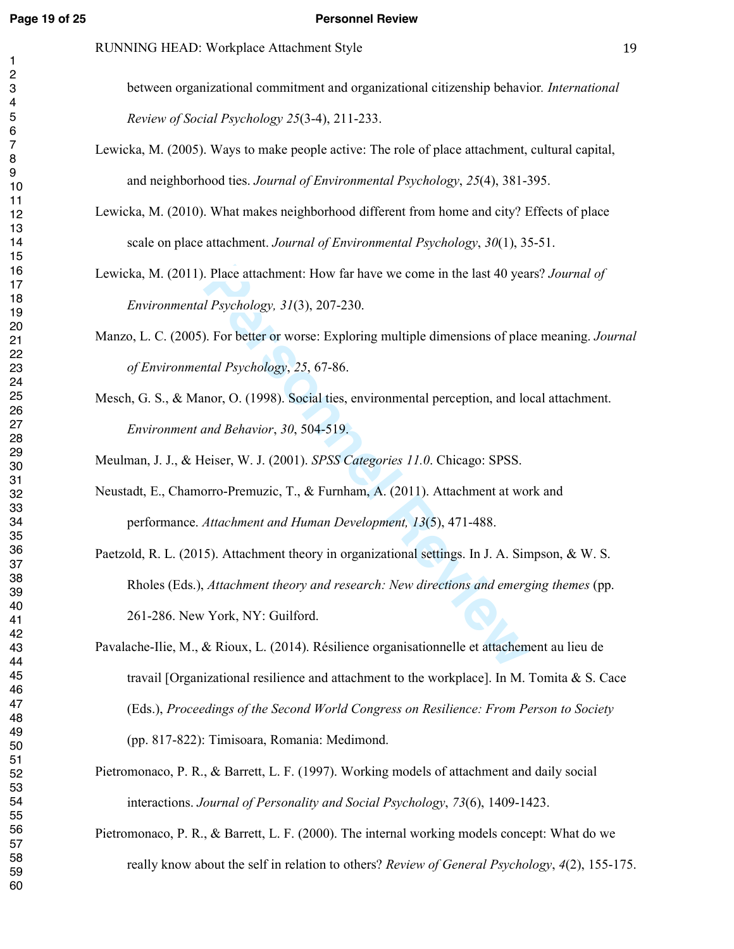#### **Page 19 of 25 Personnel Review**

between organizational commitment and organizational citizenship behavior*. International Review of Social Psychology 25*(3-4), 211-233.

- Lewicka, M. (2005). Ways to make people active: The role of place attachment, cultural capital, and neighborhood ties. *Journal of Environmental Psychology*, *25*(4), 381-395.
- Lewicka, M. (2010). What makes neighborhood different from home and city? Effects of place scale on place attachment. *Journal of Environmental Psychology*, *30*(1), 35-51.

Lewicka, M. (2011). Place attachment: How far have we come in the last 40 years? *Journal of Environmental Psychology, 31*(3), 207-230.

Manzo, L. C. (2005). For better or worse: Exploring multiple dimensions of place meaning. *Journal of Environmental Psychology* , *25*, 67-86.

Mesch, G. S., & Manor, O. (1998). Social ties, environmental perception, and local attachment. *Environment and Behavior*, *30*, 504-519.

Meulman, J. J., & Heiser, W. J. (2001). *SPSS Categories 11.0*. Chicago: SPSS.

Neustadt, E., Chamorro-Premuzic, T., & Furnham, A. (2011). Attachment at work and performance. *Attachment and Human Development, 13*(5), 471-488.

Place attachment: How far have we come in the last 40 yea<br> *Psychology*, 31(3), 207-230.<br>
D. For better or worse: Exploring multiple dimensions of plactral Psychology, 25, 67-86.<br>
Inor, O. (1998). Social ties, environmenta Paetzold, R. L. (2015). Attachment theory in organizational settings. In J. A. Simpson, & W. S. Rholes (Eds.), *Attachment theory and research: New directions and emerging themes* (pp. 261-286. New York, NY: Guilford.

Pavalache-Ilie, M., & Rioux, L. (2014). Résilience organisationnelle et attachement au lieu de travail [Organizational resilience and attachment to the workplace]. In M. Tomita & S. Cace (Eds.), *Proceedings of the Second World Congress on Resilience: From Person to Society* (pp. 817-822): Timisoara, Romania: Medimond.

- Pietromonaco, P. R., & Barrett, L. F. (1997). Working models of attachment and daily social interactions. *Journal of Personality and Social Psychology*, *73*(6), 1409-1423.
- Pietromonaco, P. R., & Barrett, L. F. (2000). The internal working models concept: What do we really know about the self in relation to others? *Review of General Psychology*, *4*(2), 155-175.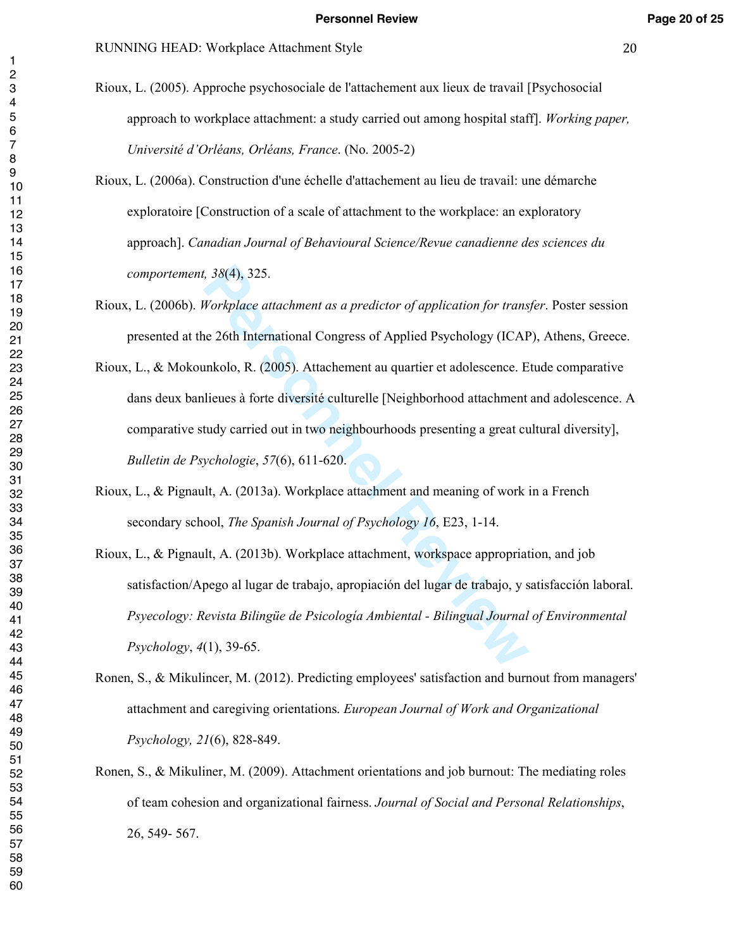- Rioux, L. (2005). Approche psychosociale de l'attachement aux lieux de travail [Psychosocial approach to workplace attachment: a study carried out among hospital staff]. *Working paper, Université d'Orléans, Orléans, France*. (No. 2005-2)
- Rioux, L. (2006a). Construction d'une échelle d'attachement au lieu de travail: une démarche exploratoire [Construction of a scale of attachment to the workplace: an exploratory approach]. *Canadian Journal of Behavioural Science/Revue canadienne des sciences du comportement, 38*(4), 325.
- Rioux, L. (2006b). *Workplace attachment as a predictor of application for transfer*. Poster session presented at the 26th International Congress of Applied Psychology (ICAP), Athens, Greece.
- *r*, 38(4), 325.<br> *Workplace attachment as a predictor of application for trans,<br>
ac 26th International Congress of Applied Psychology (ICAP<br>
unkolo, R. (2005). Attachement au quartier et adolescence. E<br>
lieues à forte div* Rioux, L., & Mokounkolo, R. (2005). Attachement au quartier et adolescence. Etude comparative dans deux banlieues à forte diversité culturelle [Neighborhood attachment and adolescence. A comparative study carried out in two neighbourhoods presenting a great cultural diversity], *Bulletin de Psychologie*, *57*(6), 611-620.
- Rioux, L., & Pignault, A. (2013a). Workplace attachment and meaning of work in a French secondary school, *The Spanish Journal of Psychology 16*, E23, 1-14.
- Rioux, L., & Pignault, A. (2013b). Workplace attachment, workspace appropriation, and job satisfaction/Apego al lugar de trabajo, apropiación del lugar de trabajo, y satisfacción laboral. *Psyecology: Revista Bilingüe de Psicología Ambiental - Bilingual Journal of Environmental Psychology*, *4*(1), 39-65.
- Ronen, S., & Mikulincer, M. (2012). Predicting employees' satisfaction and burnout from managers' attachment and caregiving orientations. *European Journal of Work and Organizational Psychology, 21*(6), 828-849.
- Ronen, S., & Mikuliner, M. (2009). Attachment orientations and job burnout: The mediating roles of team cohesion and organizational fairness. *Journal of Social and Personal Relationships*, 26, 549- 567.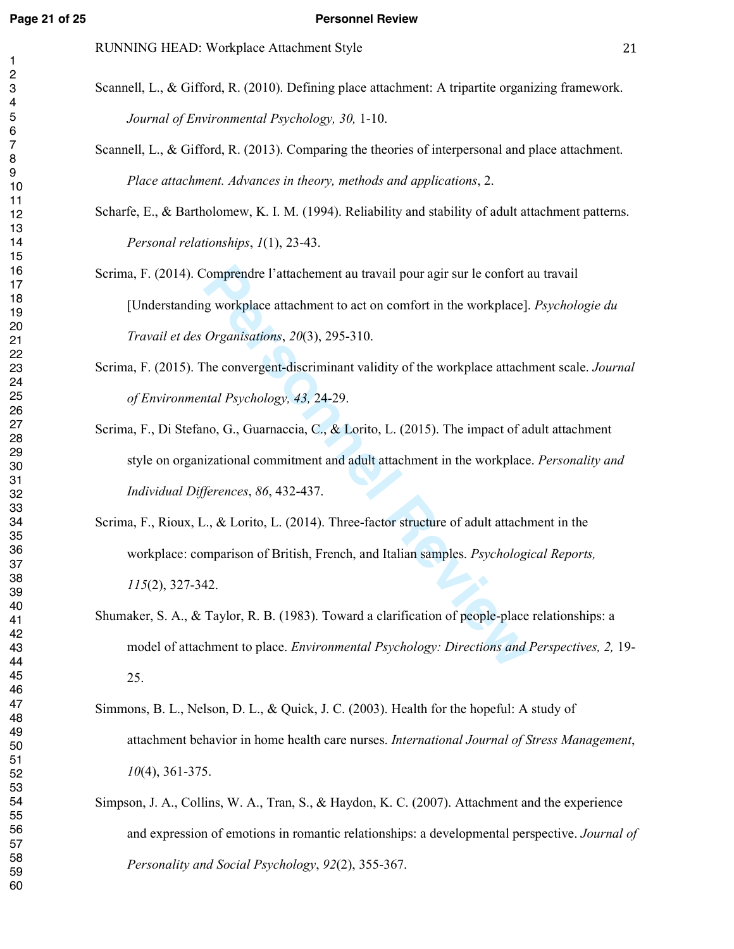#### **Page 21 of 25 Personnel Review**

- Scannell, L., & Gifford, R. (2010). Defining place attachment: A tripartite organizing framework. *Journal of Environmental Psychology, 30,* 1-10.
	- Scannell, L., & Gifford, R. (2013). Comparing the theories of interpersonal and place attachment. *Place attachment. Advances in theory, methods and applications*, 2.

Scharfe, E., & Bartholomew, K. I. M. (1994). Reliability and stability of adult attachment patterns. *Personal relationships*, *1*(1), 23-43.

- Scrima, F. (2014). Comprendre l'attachement au travail pour agir sur le confort au travail [Understanding workplace attachment to act on comfort in the workplace]. *Psychologie du Travail et des Organisations*, *20*(3), 295-310.
- Scrima, F. (2015). The convergent-discriminant validity of the workplace attachment scale. *Journal of Environmental Psychology, 43,* 24-29.
- Scrima, F., Di Stefano, G., Guarnaccia, C., & Lorito, L. (2015). The impact of adult attachment style on organizational commitment and adult attachment in the workplace. *Personality and Individual Differences*, *86*, 432-437.
- Comprendre l'attachement au travail pour agir sur le confort au<br>
g workplace attachment to act on comfort in the workplace].<br> *Organisations*, 20(3), 295-310.<br>
The convergent-discriminant validity of the workplace attachme Scrima, F., Rioux, L., & Lorito, L. (2014). Three-factor structure of adult attachment in the workplace: comparison of British, French, and Italian samples. *Psychological Reports,*  (2), 327-342.
- Shumaker, S. A., & Taylor, R. B. (1983). Toward a clarification of people-place relationships: a model of attachment to place. *Environmental Psychology: Directions and Perspectives, 2,* 19- 25.
- Simmons, B. L., Nelson, D. L., & Quick, J. C. (2003). Health for the hopeful: A study of attachment behavior in home health care nurses. *International Journal of Stress Management*, (4), 361-375.
- Simpson, J. A., Collins, W. A., Tran, S., & Haydon, K. C. (2007). Attachment and the experience and expression of emotions in romantic relationships: a developmental perspective. *Journal of Personality and Social Psychology*, *92*(2), 355-367.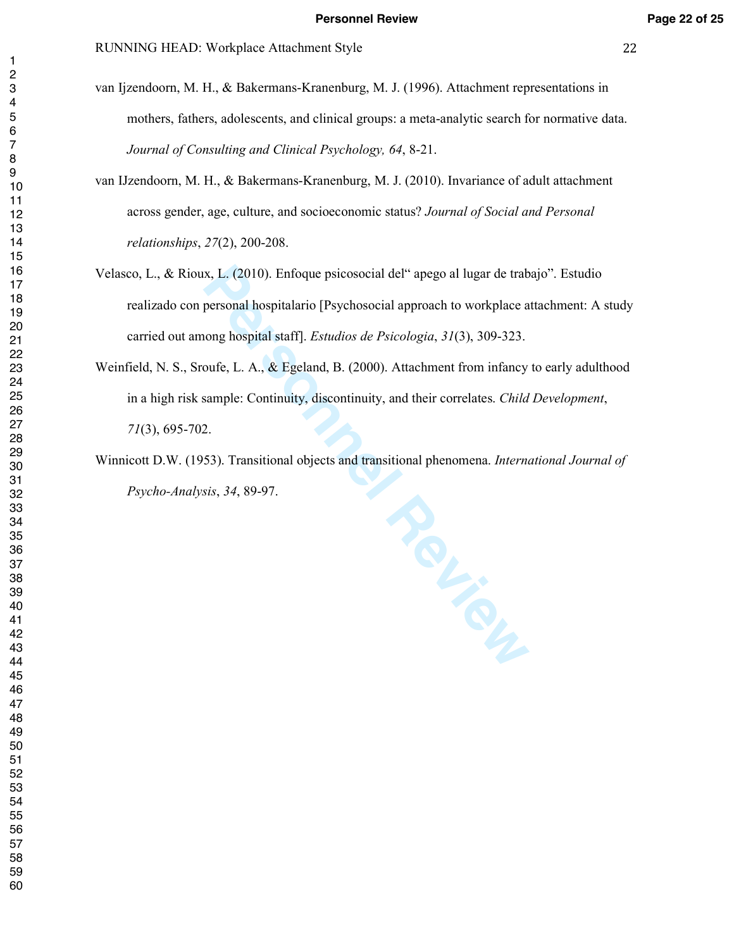- van Ijzendoorn, M. H., & Bakermans-Kranenburg, M. J. (1996). Attachment representations in mothers, fathers, adolescents, and clinical groups: a meta-analytic search for normative data. *Journal of Consulting and Clinical Psychology, 64*, 8-21.
- van IJzendoorn, M. H., & Bakermans-Kranenburg, M. J. (2010). Invariance of adult attachment across gender, age, culture, and socioeconomic status? *Journal of Social and Personal relationships*, *27*(2), 200-208.
- Velasco, L., & Rioux, L. (2010). Enfoque psicosocial del" apego al lugar de trabajo". Estudio realizado con personal hospitalario [Psychosocial approach to workplace attachment: A study carried out among hospital staff]. *Estudios de Psicologia*, *31*(3), 309-323.
- Weinfield, N. S., Sroufe, L. A., & Egeland, B. (2000). Attachment from infancy to early adulthood in a high risk sample: Continuity, discontinuity, and their correlates. *Child Development*, (3), 695-702.
- Winnicott D.W. (1953). Transitional objects and transitional phenomena. *International Journal of Psycho-Analysis*, *34*, 89-97.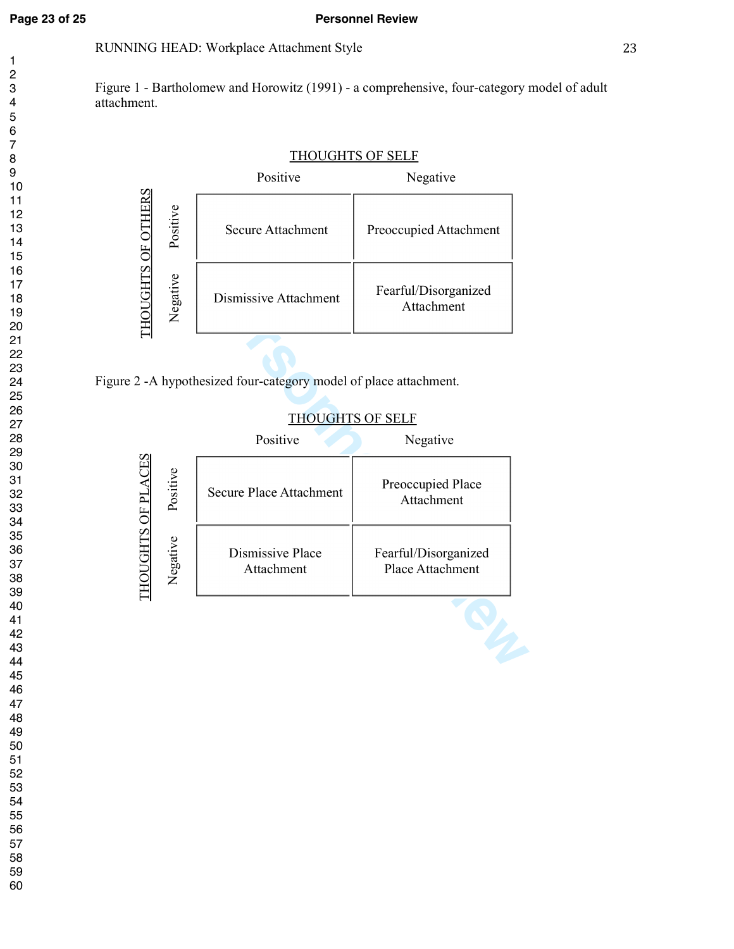# **Page 23 of 25 Personnel Review**

# RUNNING HEAD: Workplace Attachment Style 23

Figure 1 - Bartholomew and Horowitz (1991) - a comprehensive, four-category model of adult attachment.

# FIELD SECURE Attachment<br>
Freoccupied Attack<br>
Dismissive Attachment<br>
Fearful/Disorgare<br>
THOUGHTS OF ORIGINAL PREOCCUPIED Attack<br>
THOUGHTS OF ORIGINAL PREOCCUPIED Attack<br>
THOUGHTS OF ORIGINAL PREOCCUPIED Attack<br>
The Secure 2 Secure Attachment | Preoccupied Attachment Dismissive Attachment Fearful/Disorganized Attachment THOUGHTS OF SELF Positive Negative Positive Negative

# THOUGHTS OF SELF

| <b>HOUGHTS</b>    | Negative                                   | Dismissive Attachment                                      | Fearful/Disorganized<br>Attachment       |  |  |
|-------------------|--------------------------------------------|------------------------------------------------------------|------------------------------------------|--|--|
|                   |                                            |                                                            |                                          |  |  |
|                   |                                            | 2 -A hypothesized four-category model of place attachment. |                                          |  |  |
|                   |                                            | <b>THOUGHTS OF SELF</b>                                    |                                          |  |  |
|                   |                                            | Positive                                                   | Negative                                 |  |  |
| HOUGHTS OF PLACES | Positive                                   | <b>Secure Place Attachment</b>                             | Preoccupied Place<br>Attachment          |  |  |
|                   | Negative<br>Dismissive Place<br>Attachment |                                                            | Fearful/Disorganized<br>Place Attachment |  |  |
|                   |                                            |                                                            |                                          |  |  |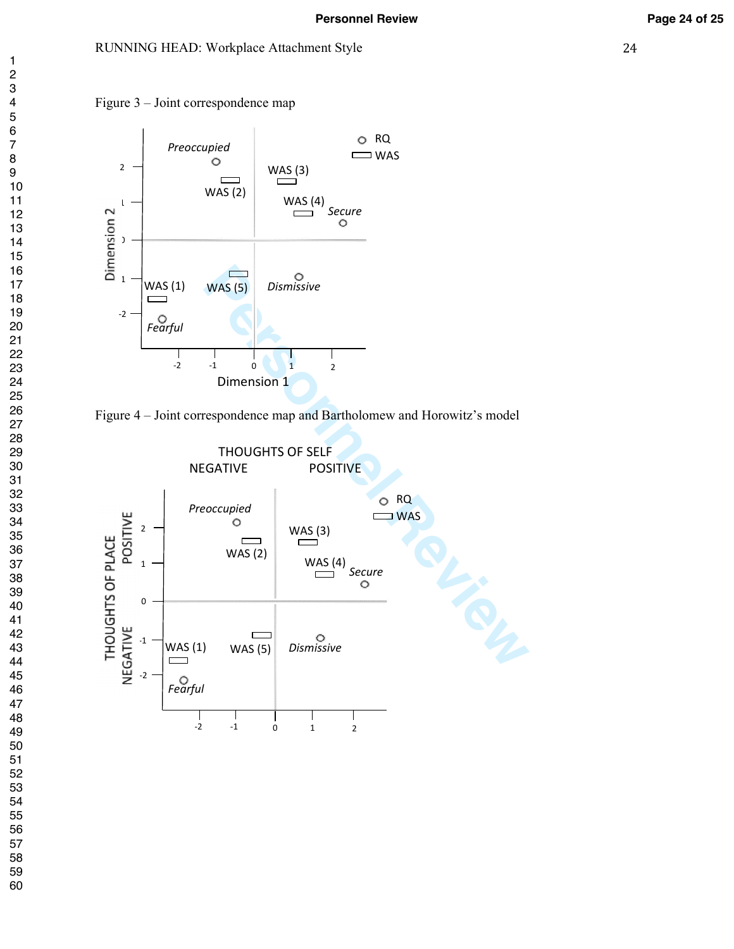#### RUNNING HEAD: Workplace Attachment Style 24





Figure 4 – Joint correspondence map and Bartholomew and Horowitz's model